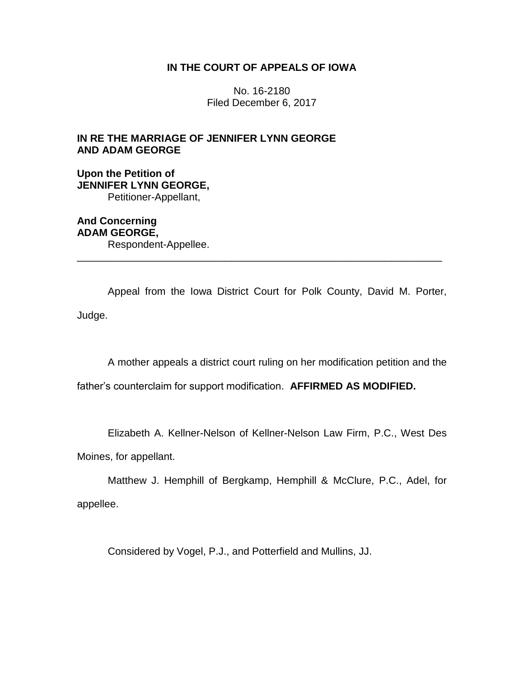# **IN THE COURT OF APPEALS OF IOWA**

No. 16-2180 Filed December 6, 2017

# **IN RE THE MARRIAGE OF JENNIFER LYNN GEORGE AND ADAM GEORGE**

**Upon the Petition of JENNIFER LYNN GEORGE,** Petitioner-Appellant,

**And Concerning ADAM GEORGE,** Respondent-Appellee.

Appeal from the Iowa District Court for Polk County, David M. Porter, Judge.

\_\_\_\_\_\_\_\_\_\_\_\_\_\_\_\_\_\_\_\_\_\_\_\_\_\_\_\_\_\_\_\_\_\_\_\_\_\_\_\_\_\_\_\_\_\_\_\_\_\_\_\_\_\_\_\_\_\_\_\_\_\_\_\_

A mother appeals a district court ruling on her modification petition and the

father's counterclaim for support modification. **AFFIRMED AS MODIFIED.**

Elizabeth A. Kellner-Nelson of Kellner-Nelson Law Firm, P.C., West Des

Moines, for appellant.

Matthew J. Hemphill of Bergkamp, Hemphill & McClure, P.C., Adel, for appellee.

Considered by Vogel, P.J., and Potterfield and Mullins, JJ.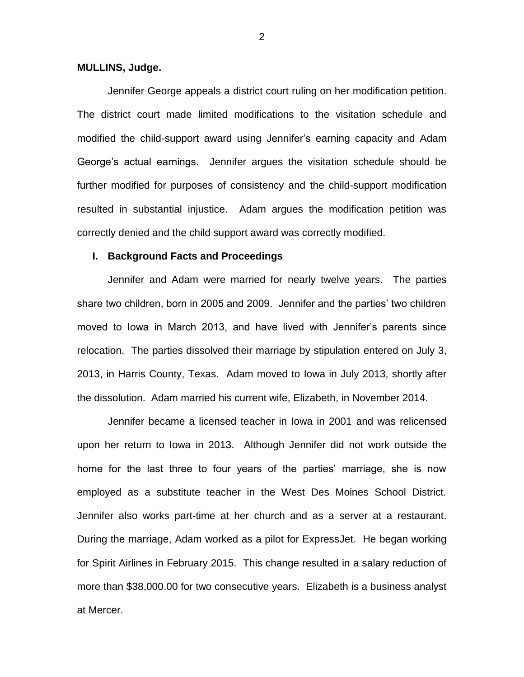### **MULLINS, Judge.**

Jennifer George appeals a district court ruling on her modification petition. The district court made limited modifications to the visitation schedule and modified the child-support award using Jennifer's earning capacity and Adam George's actual earnings. Jennifer argues the visitation schedule should be further modified for purposes of consistency and the child-support modification resulted in substantial injustice. Adam argues the modification petition was correctly denied and the child support award was correctly modified.

### **I. Background Facts and Proceedings**

Jennifer and Adam were married for nearly twelve years. The parties share two children, born in 2005 and 2009. Jennifer and the parties' two children moved to Iowa in March 2013, and have lived with Jennifer's parents since relocation. The parties dissolved their marriage by stipulation entered on July 3, 2013, in Harris County, Texas. Adam moved to Iowa in July 2013, shortly after the dissolution. Adam married his current wife, Elizabeth, in November 2014.

Jennifer became a licensed teacher in Iowa in 2001 and was relicensed upon her return to Iowa in 2013. Although Jennifer did not work outside the home for the last three to four years of the parties' marriage, she is now employed as a substitute teacher in the West Des Moines School District. Jennifer also works part-time at her church and as a server at a restaurant. During the marriage, Adam worked as a pilot for ExpressJet. He began working for Spirit Airlines in February 2015. This change resulted in a salary reduction of more than \$38,000.00 for two consecutive years. Elizabeth is a business analyst at Mercer.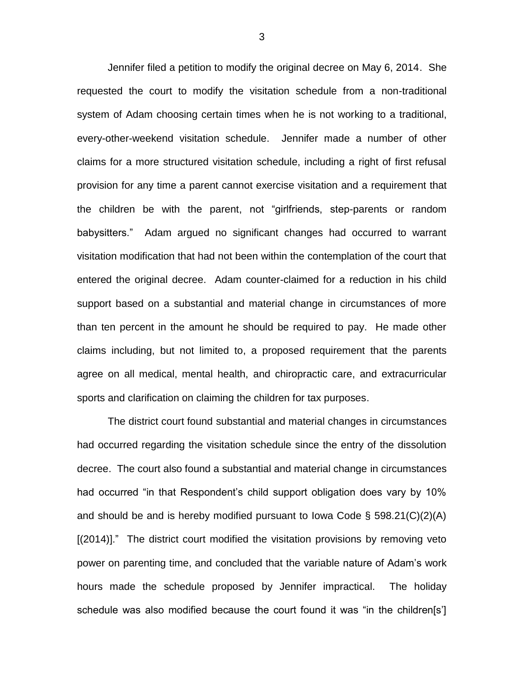Jennifer filed a petition to modify the original decree on May 6, 2014. She requested the court to modify the visitation schedule from a non-traditional system of Adam choosing certain times when he is not working to a traditional, every-other-weekend visitation schedule. Jennifer made a number of other claims for a more structured visitation schedule, including a right of first refusal provision for any time a parent cannot exercise visitation and a requirement that the children be with the parent, not "girlfriends, step-parents or random babysitters." Adam argued no significant changes had occurred to warrant visitation modification that had not been within the contemplation of the court that entered the original decree. Adam counter-claimed for a reduction in his child support based on a substantial and material change in circumstances of more than ten percent in the amount he should be required to pay. He made other claims including, but not limited to, a proposed requirement that the parents agree on all medical, mental health, and chiropractic care, and extracurricular sports and clarification on claiming the children for tax purposes.

The district court found substantial and material changes in circumstances had occurred regarding the visitation schedule since the entry of the dissolution decree. The court also found a substantial and material change in circumstances had occurred "in that Respondent's child support obligation does vary by 10% and should be and is hereby modified pursuant to lowa Code  $\S$  598.21(C)(2)(A) [(2014)]." The district court modified the visitation provisions by removing veto power on parenting time, and concluded that the variable nature of Adam's work hours made the schedule proposed by Jennifer impractical. The holiday schedule was also modified because the court found it was "in the children[s']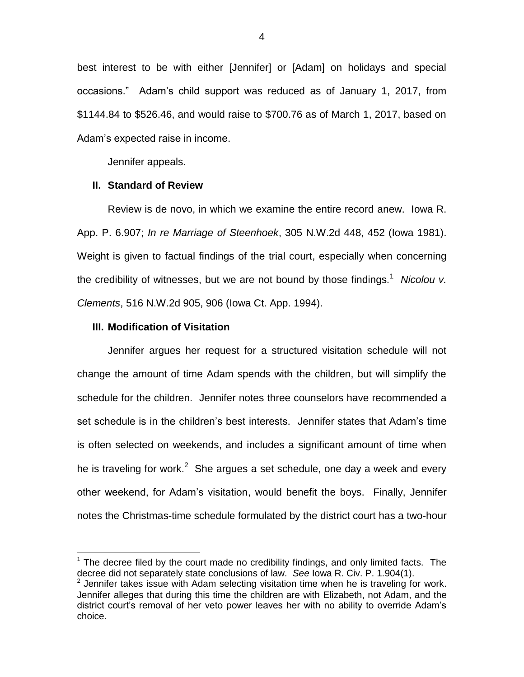best interest to be with either [Jennifer] or [Adam] on holidays and special occasions." Adam's child support was reduced as of January 1, 2017, from \$1144.84 to \$526.46, and would raise to \$700.76 as of March 1, 2017, based on Adam's expected raise in income.

Jennifer appeals.

### **II. Standard of Review**

Review is de novo, in which we examine the entire record anew. Iowa R. App. P. 6.907; *In re Marriage of Steenhoek*, 305 N.W.2d 448, 452 (Iowa 1981). Weight is given to factual findings of the trial court, especially when concerning the credibility of witnesses, but we are not bound by those findings.<sup>1</sup> Nicolou v. *Clements*, 516 N.W.2d 905, 906 (Iowa Ct. App. 1994).

### **III. Modification of Visitation**

 $\overline{a}$ 

Jennifer argues her request for a structured visitation schedule will not change the amount of time Adam spends with the children, but will simplify the schedule for the children. Jennifer notes three counselors have recommended a set schedule is in the children's best interests. Jennifer states that Adam's time is often selected on weekends, and includes a significant amount of time when he is traveling for work.<sup>2</sup> She argues a set schedule, one day a week and every other weekend, for Adam's visitation, would benefit the boys. Finally, Jennifer notes the Christmas-time schedule formulated by the district court has a two-hour

 $1$  The decree filed by the court made no credibility findings, and only limited facts. The decree did not separately state conclusions of law. *See* Iowa R. Civ. P. 1.904(1).

 $2$  Jennifer takes issue with Adam selecting visitation time when he is traveling for work. Jennifer alleges that during this time the children are with Elizabeth, not Adam, and the district court's removal of her veto power leaves her with no ability to override Adam's choice.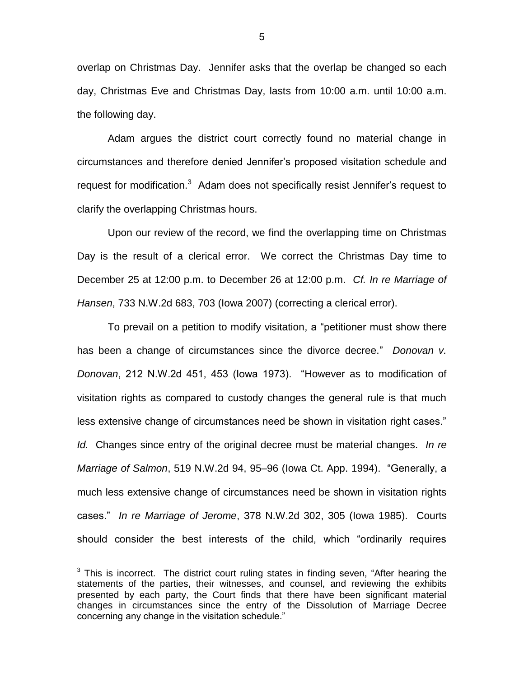overlap on Christmas Day. Jennifer asks that the overlap be changed so each day, Christmas Eve and Christmas Day, lasts from 10:00 a.m. until 10:00 a.m. the following day.

Adam argues the district court correctly found no material change in circumstances and therefore denied Jennifer's proposed visitation schedule and request for modification. $3$  Adam does not specifically resist Jennifer's request to clarify the overlapping Christmas hours.

Upon our review of the record, we find the overlapping time on Christmas Day is the result of a clerical error. We correct the Christmas Day time to December 25 at 12:00 p.m. to December 26 at 12:00 p.m. *Cf. In re Marriage of Hansen*, 733 N.W.2d 683, 703 (Iowa 2007) (correcting a clerical error).

To prevail on a petition to modify visitation, a "petitioner must show there has been a change of circumstances since the divorce decree." *Donovan v. Donovan*, 212 N.W.2d 451, 453 (Iowa 1973). "However as to modification of visitation rights as compared to custody changes the general rule is that much less extensive change of circumstances need be shown in visitation right cases." *Id.* Changes since entry of the original decree must be material changes. *In re Marriage of Salmon*, 519 N.W.2d 94, 95–96 (Iowa Ct. App. 1994). "Generally, a much less extensive change of circumstances need be shown in visitation rights cases." *In re Marriage of Jerome*, 378 N.W.2d 302, 305 (Iowa 1985). Courts should consider the best interests of the child, which "ordinarily requires

 $\overline{a}$ 

 $3$  This is incorrect. The district court ruling states in finding seven, "After hearing the statements of the parties, their witnesses, and counsel, and reviewing the exhibits presented by each party, the Court finds that there have been significant material changes in circumstances since the entry of the Dissolution of Marriage Decree concerning any change in the visitation schedule."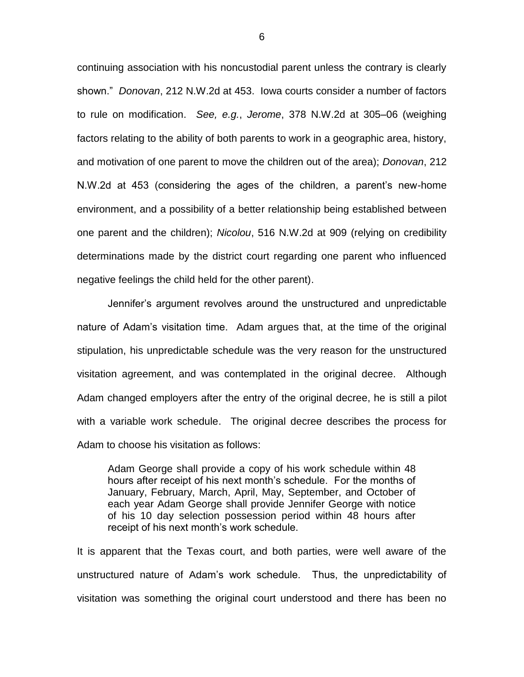continuing association with his noncustodial parent unless the contrary is clearly shown." *Donovan*, 212 N.W.2d at 453. Iowa courts consider a number of factors to rule on modification. *See, e.g.*, *Jerome*, 378 N.W.2d at 305–06 (weighing factors relating to the ability of both parents to work in a geographic area, history, and motivation of one parent to move the children out of the area); *Donovan*, 212 N.W.2d at 453 (considering the ages of the children, a parent's new-home environment, and a possibility of a better relationship being established between one parent and the children); *Nicolou*, 516 N.W.2d at 909 (relying on credibility determinations made by the district court regarding one parent who influenced negative feelings the child held for the other parent).

Jennifer's argument revolves around the unstructured and unpredictable nature of Adam's visitation time. Adam argues that, at the time of the original stipulation, his unpredictable schedule was the very reason for the unstructured visitation agreement, and was contemplated in the original decree. Although Adam changed employers after the entry of the original decree, he is still a pilot with a variable work schedule. The original decree describes the process for Adam to choose his visitation as follows:

Adam George shall provide a copy of his work schedule within 48 hours after receipt of his next month's schedule. For the months of January, February, March, April, May, September, and October of each year Adam George shall provide Jennifer George with notice of his 10 day selection possession period within 48 hours after receipt of his next month's work schedule.

It is apparent that the Texas court, and both parties, were well aware of the unstructured nature of Adam's work schedule. Thus, the unpredictability of visitation was something the original court understood and there has been no

6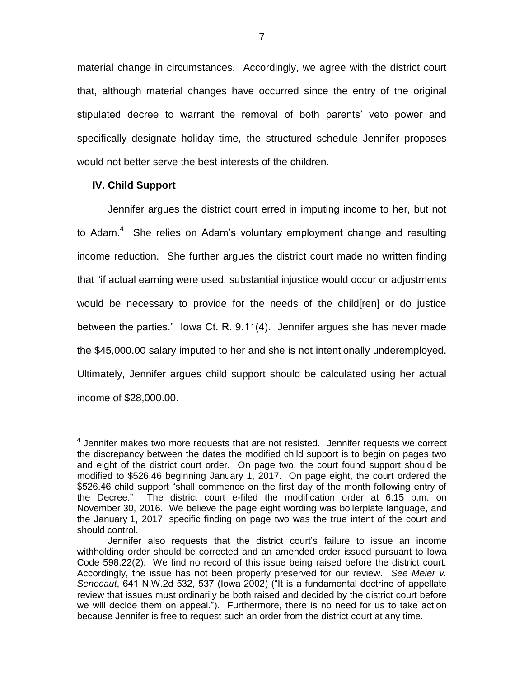material change in circumstances. Accordingly, we agree with the district court that, although material changes have occurred since the entry of the original stipulated decree to warrant the removal of both parents' veto power and specifically designate holiday time, the structured schedule Jennifer proposes would not better serve the best interests of the children.

## **IV. Child Support**

 $\overline{a}$ 

Jennifer argues the district court erred in imputing income to her, but not to Adam. $4$  She relies on Adam's voluntary employment change and resulting income reduction. She further argues the district court made no written finding that "if actual earning were used, substantial injustice would occur or adjustments would be necessary to provide for the needs of the child[ren] or do justice between the parties." Iowa Ct. R. 9.11(4). Jennifer argues she has never made the \$45,000.00 salary imputed to her and she is not intentionally underemployed. Ultimately, Jennifer argues child support should be calculated using her actual income of \$28,000.00.

<sup>&</sup>lt;sup>4</sup> Jennifer makes two more requests that are not resisted. Jennifer requests we correct the discrepancy between the dates the modified child support is to begin on pages two and eight of the district court order. On page two, the court found support should be modified to \$526.46 beginning January 1, 2017. On page eight, the court ordered the \$526.46 child support "shall commence on the first day of the month following entry of the Decree." The district court e-filed the modification order at 6:15 p.m. on November 30, 2016. We believe the page eight wording was boilerplate language, and the January 1, 2017, specific finding on page two was the true intent of the court and should control.

Jennifer also requests that the district court's failure to issue an income withholding order should be corrected and an amended order issued pursuant to Iowa Code 598.22(2). We find no record of this issue being raised before the district court. Accordingly, the issue has not been properly preserved for our review. *See Meier v. Senecaut*, 641 N.W.2d 532, 537 (Iowa 2002) ("It is a fundamental doctrine of appellate review that issues must ordinarily be both raised and decided by the district court before we will decide them on appeal."). Furthermore, there is no need for us to take action because Jennifer is free to request such an order from the district court at any time.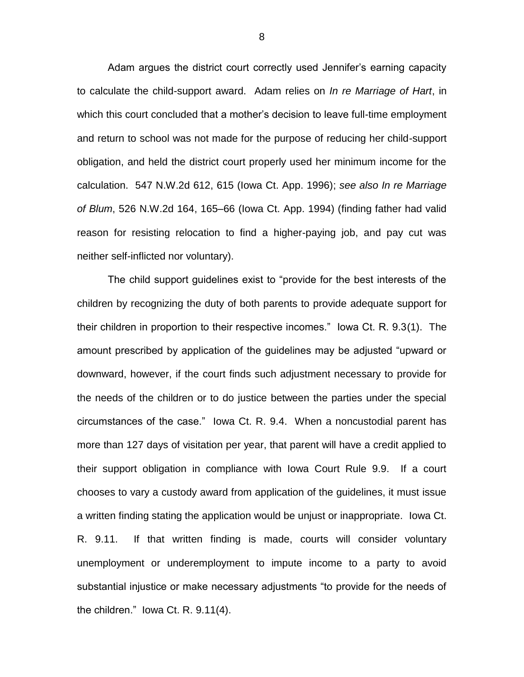Adam argues the district court correctly used Jennifer's earning capacity to calculate the child-support award. Adam relies on *In re Marriage of Hart*, in which this court concluded that a mother's decision to leave full-time employment and return to school was not made for the purpose of reducing her child-support obligation, and held the district court properly used her minimum income for the calculation. 547 N.W.2d 612, 615 (Iowa Ct. App. 1996); *see also In re Marriage of Blum*, 526 N.W.2d 164, 165–66 (Iowa Ct. App. 1994) (finding father had valid reason for resisting relocation to find a higher-paying job, and pay cut was neither self-inflicted nor voluntary).

The child support guidelines exist to "provide for the best interests of the children by recognizing the duty of both parents to provide adequate support for their children in proportion to their respective incomes." Iowa Ct. R. 9.3(1). The amount prescribed by application of the guidelines may be adjusted "upward or downward, however, if the court finds such adjustment necessary to provide for the needs of the children or to do justice between the parties under the special circumstances of the case." Iowa Ct. R. 9.4. When a noncustodial parent has more than 127 days of visitation per year, that parent will have a credit applied to their support obligation in compliance with Iowa Court Rule 9.9. If a court chooses to vary a custody award from application of the guidelines, it must issue a written finding stating the application would be unjust or inappropriate. Iowa Ct. R. 9.11. If that written finding is made, courts will consider voluntary unemployment or underemployment to impute income to a party to avoid substantial injustice or make necessary adjustments "to provide for the needs of the children." Iowa Ct. R. 9.11(4).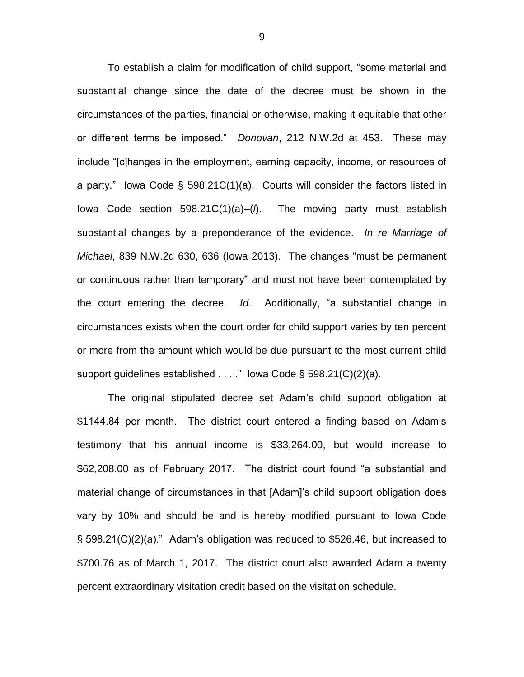To establish a claim for modification of child support, "some material and substantial change since the date of the decree must be shown in the circumstances of the parties, financial or otherwise, making it equitable that other or different terms be imposed." *Donovan*, 212 N.W.2d at 453. These may include "[c]hanges in the employment, earning capacity, income, or resources of a party." Iowa Code § 598.21C(1)(a). Courts will consider the factors listed in Iowa Code section 598.21C(1)(a)–(*l*). The moving party must establish substantial changes by a preponderance of the evidence. *In re Marriage of Michael*, 839 N.W.2d 630, 636 (Iowa 2013). The changes "must be permanent or continuous rather than temporary" and must not have been contemplated by the court entering the decree. *Id.* Additionally, "a substantial change in circumstances exists when the court order for child support varies by ten percent or more from the amount which would be due pursuant to the most current child support guidelines established . . . ." lowa Code § 598.21(C)(2)(a).

The original stipulated decree set Adam's child support obligation at \$1144.84 per month. The district court entered a finding based on Adam's testimony that his annual income is \$33,264.00, but would increase to \$62,208.00 as of February 2017. The district court found "a substantial and material change of circumstances in that [Adam]'s child support obligation does vary by 10% and should be and is hereby modified pursuant to Iowa Code § 598.21(C)(2)(a)." Adam's obligation was reduced to \$526.46, but increased to \$700.76 as of March 1, 2017. The district court also awarded Adam a twenty percent extraordinary visitation credit based on the visitation schedule.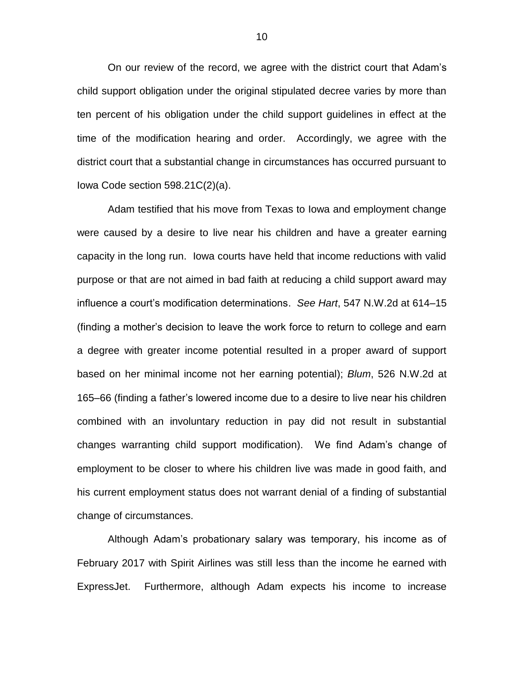On our review of the record, we agree with the district court that Adam's child support obligation under the original stipulated decree varies by more than ten percent of his obligation under the child support guidelines in effect at the time of the modification hearing and order. Accordingly, we agree with the district court that a substantial change in circumstances has occurred pursuant to Iowa Code section 598.21C(2)(a).

Adam testified that his move from Texas to Iowa and employment change were caused by a desire to live near his children and have a greater earning capacity in the long run. Iowa courts have held that income reductions with valid purpose or that are not aimed in bad faith at reducing a child support award may influence a court's modification determinations. *See Hart*, 547 N.W.2d at 614–15 (finding a mother's decision to leave the work force to return to college and earn a degree with greater income potential resulted in a proper award of support based on her minimal income not her earning potential); *Blum*, 526 N.W.2d at 165–66 (finding a father's lowered income due to a desire to live near his children combined with an involuntary reduction in pay did not result in substantial changes warranting child support modification). We find Adam's change of employment to be closer to where his children live was made in good faith, and his current employment status does not warrant denial of a finding of substantial change of circumstances.

Although Adam's probationary salary was temporary, his income as of February 2017 with Spirit Airlines was still less than the income he earned with ExpressJet. Furthermore, although Adam expects his income to increase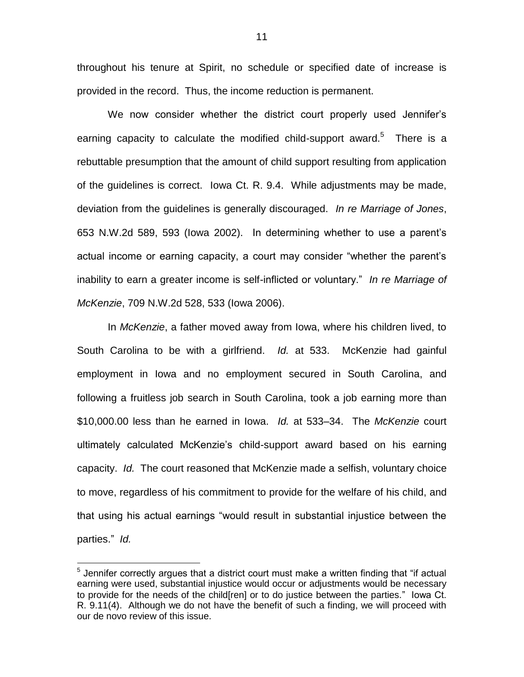throughout his tenure at Spirit, no schedule or specified date of increase is provided in the record. Thus, the income reduction is permanent.

We now consider whether the district court properly used Jennifer's earning capacity to calculate the modified child-support award.<sup>5</sup> There is a rebuttable presumption that the amount of child support resulting from application of the guidelines is correct. Iowa Ct. R. 9.4. While adjustments may be made, deviation from the guidelines is generally discouraged. *In re Marriage of Jones*, 653 N.W.2d 589, 593 (Iowa 2002). In determining whether to use a parent's actual income or earning capacity, a court may consider "whether the parent's inability to earn a greater income is self-inflicted or voluntary." *In re Marriage of McKenzie*, 709 N.W.2d 528, 533 (Iowa 2006).

In *McKenzie*, a father moved away from Iowa, where his children lived, to South Carolina to be with a girlfriend. *Id.* at 533. McKenzie had gainful employment in Iowa and no employment secured in South Carolina, and following a fruitless job search in South Carolina, took a job earning more than \$10,000.00 less than he earned in Iowa. *Id.* at 533–34. The *McKenzie* court ultimately calculated McKenzie's child-support award based on his earning capacity. *Id.* The court reasoned that McKenzie made a selfish, voluntary choice to move, regardless of his commitment to provide for the welfare of his child, and that using his actual earnings "would result in substantial injustice between the parties." *Id.*

 $\overline{a}$ 

 $5$  Jennifer correctly argues that a district court must make a written finding that "if actual earning were used, substantial injustice would occur or adjustments would be necessary to provide for the needs of the child[ren] or to do justice between the parties." Iowa Ct. R. 9.11(4). Although we do not have the benefit of such a finding, we will proceed with our de novo review of this issue.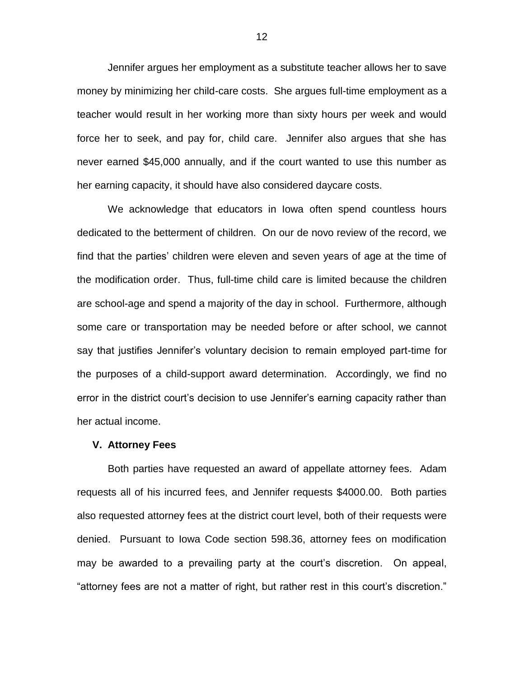Jennifer argues her employment as a substitute teacher allows her to save money by minimizing her child-care costs. She argues full-time employment as a teacher would result in her working more than sixty hours per week and would force her to seek, and pay for, child care. Jennifer also argues that she has never earned \$45,000 annually, and if the court wanted to use this number as her earning capacity, it should have also considered daycare costs.

We acknowledge that educators in Iowa often spend countless hours dedicated to the betterment of children. On our de novo review of the record, we find that the parties' children were eleven and seven years of age at the time of the modification order. Thus, full-time child care is limited because the children are school-age and spend a majority of the day in school. Furthermore, although some care or transportation may be needed before or after school, we cannot say that justifies Jennifer's voluntary decision to remain employed part-time for the purposes of a child-support award determination. Accordingly, we find no error in the district court's decision to use Jennifer's earning capacity rather than her actual income.

#### **V. Attorney Fees**

Both parties have requested an award of appellate attorney fees. Adam requests all of his incurred fees, and Jennifer requests \$4000.00. Both parties also requested attorney fees at the district court level, both of their requests were denied. Pursuant to Iowa Code section 598.36, attorney fees on modification may be awarded to a prevailing party at the court's discretion. On appeal, "attorney fees are not a matter of right, but rather rest in this court's discretion."